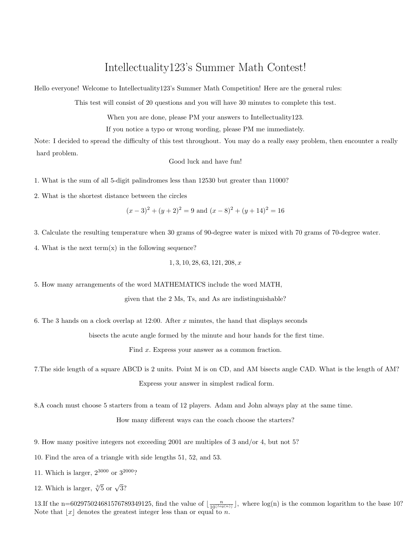## Intellectuality123's Summer Math Contest!

Hello everyone! Welcome to Intellectuality123's Summer Math Competition! Here are the general rules:

This test will consist of 20 questions and you will have 30 minutes to complete this test.

When you are done, please PM your answers to Intellectuality123.

If you notice a typo or wrong wording, please PM me immediately.

Note: I decided to spread the difficulty of this test throughout. You may do a really easy problem, then encounter a really hard problem.

Good luck and have fun!

1. What is the sum of all 5-digit palindromes less than 12530 but greater than 11000?

2. What is the shortest distance between the circles

$$
(x-3)^2 + (y+2)^2 = 9
$$
 and  $(x-8)^2 + (y+14)^2 = 16$ 

3. Calculate the resulting temperature when 30 grams of 90-degree water is mixed with 70 grams of 70-degree water.

4. What is the next term $(x)$  in the following sequence?

$$
1, 3, 10, 28, 63, 121, 208, x
$$

5. How many arrangements of the word MATHEMATICS include the word MATH,

given that the 2 Ms, Ts, and As are indistinguishable?

6. The 3 hands on a clock overlap at 12:00. After  $x$  minutes, the hand that displays seconds

bisects the acute angle formed by the minute and hour hands for the first time.

Find x. Express your answer as a common fraction.

7.The side length of a square ABCD is 2 units. Point M is on CD, and AM bisects angle CAD. What is the length of AM? Express your answer in simplest radical form.

8.A coach must choose 5 starters from a team of 12 players. Adam and John always play at the same time.

How many different ways can the coach choose the starters?

9. How many positive integers not exceeding 2001 are multiples of 3 and/or 4, but not 5?

10. Find the area of a triangle with side lengths 51, 52, and 53.

11. Which is larger,  $2^{3000}$  or  $3^{2000}$ ?

12. Which is larger,  $\sqrt[3]{5}$  or  $\sqrt{3}$ ?

13.If the n=602975024681576789349125, find the value of  $\lfloor \frac{n}{10^{\lfloor \log(n) \rfloor}} \rfloor$ , where  $\log(n)$  is the common logarithm to the base 10? Note that  $|x|$  denotes the greatest integer less than or equal to n.